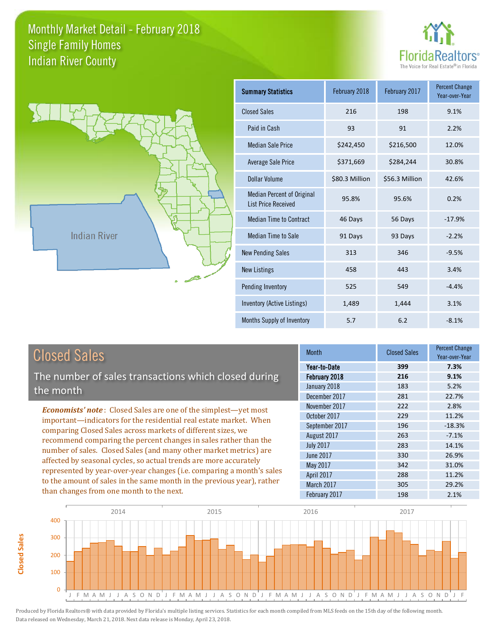



| <b>Summary Statistics</b>                                       | February 2018  | February 2017  | <b>Percent Change</b><br>Year-over-Year |
|-----------------------------------------------------------------|----------------|----------------|-----------------------------------------|
| <b>Closed Sales</b>                                             | 216            | 198            | 9.1%                                    |
| Paid in Cash                                                    | 93             | 91             | 2.2%                                    |
| <b>Median Sale Price</b>                                        | \$242,450      | \$216,500      | 12.0%                                   |
| <b>Average Sale Price</b>                                       | \$371,669      | \$284,244      | 30.8%                                   |
| Dollar Volume                                                   | \$80.3 Million | \$56.3 Million | 42.6%                                   |
| <b>Median Percent of Original</b><br><b>List Price Received</b> | 95.8%          | 95.6%          | 0.2%                                    |
| <b>Median Time to Contract</b>                                  | 46 Days        | 56 Days        | $-17.9%$                                |
| <b>Median Time to Sale</b>                                      | 91 Days        | 93 Days        | $-2.2%$                                 |
| <b>New Pending Sales</b>                                        | 313            | 346            | $-9.5%$                                 |
| <b>New Listings</b>                                             | 458            | 443            | 3.4%                                    |
| Pending Inventory                                               | 525            | 549            | $-4.4%$                                 |
| Inventory (Active Listings)                                     | 1,489          | 1,444          | 3.1%                                    |
| Months Supply of Inventory                                      | 5.7            | 6.2            | $-8.1%$                                 |

| <b>Closed Sales</b>                                                                                                                                                                                   | <b>Month</b>                                                   |
|-------------------------------------------------------------------------------------------------------------------------------------------------------------------------------------------------------|----------------------------------------------------------------|
| The number of sales transactions which closed during<br>the month                                                                                                                                     | Year-to-Date<br>February 2018<br>January 2018<br>December 2017 |
| <b>Economists' note:</b> Closed Sales are one of the simplest—yet most<br>important—indicators for the residential real estate market. When                                                           | November 2017<br>October 2017<br>September 2017                |
| comparing Closed Sales across markets of different sizes, we<br>recommend comparing the percent changes in sales rather than the<br>number of sales. Closed Sales (and many other market metrics) are | August 2017<br><b>July 2017</b>                                |

number of sales. Closed Sales (and many other market metrics) are affected by seasonal cycles, so actual trends are more accurately represented by year-over-year changes (i.e. comparing a month's sales to the amount of sales in the same month in the previous year), rather than changes from one month to the next.

**Closed Sales**

**Closed Sales** 

| ,,,,,,,,,        | uiuuu uuiuu | Year-over-Year |
|------------------|-------------|----------------|
| Year-to-Date     | 399         | 7.3%           |
| February 2018    | 216         | 9.1%           |
| January 2018     | 183         | 5.2%           |
| December 2017    | 281         | 22.7%          |
| November 2017    | 222         | 2.8%           |
| October 2017     | 229         | 11.2%          |
| September 2017   | 196         | $-18.3%$       |
| August 2017      | 263         | $-7.1%$        |
| <b>July 2017</b> | 283         | 14.1%          |
| <b>June 2017</b> | 330         | 26.9%          |
| May 2017         | 342         | 31.0%          |
| April 2017       | 288         | 11.2%          |
| March 2017       | 305         | 29.2%          |
| February 2017    | 198         | 2.1%           |

Closed Sales

Percent Change

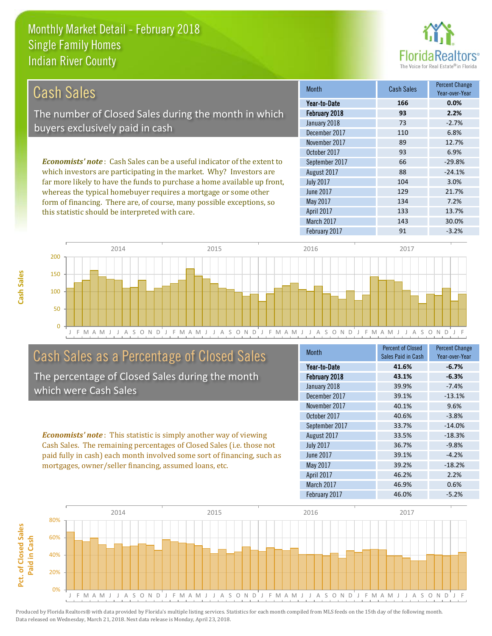this statistic should be interpreted with care.



133 13.7%

| Cash Sales                                                                     | <b>Month</b>     | <b>Cash Sales</b> | <b>Percent Change</b><br>Year-over-Year |
|--------------------------------------------------------------------------------|------------------|-------------------|-----------------------------------------|
|                                                                                | Year-to-Date     | 166               | 0.0%                                    |
| The number of Closed Sales during the month in which                           | February 2018    | 93                | 2.2%                                    |
|                                                                                | January 2018     | 73                | $-2.7%$                                 |
| buyers exclusively paid in cash                                                | December 2017    | 110               | 6.8%                                    |
|                                                                                | November 2017    | 89                | 12.7%                                   |
|                                                                                | October 2017     | 93                | 6.9%                                    |
| <b>Economists' note:</b> Cash Sales can be a useful indicator of the extent to | September 2017   | 66                | $-29.8%$                                |
| which investors are participating in the market. Why? Investors are            | August 2017      | 88                | $-24.1%$                                |
| far more likely to have the funds to purchase a home available up front,       | <b>July 2017</b> | 104               | 3.0%                                    |
| whereas the typical homebuyer requires a mortgage or some other                | June 2017        | 129               | 21.7%                                   |
| form of financing. There are, of course, many possible exceptions, so          | May 2017         | 134               | 7.2%                                    |

April 2017



# Cash Sales as a Percentage of Closed Sales

The percentage of Closed Sales during the month which were Cash Sales

*Economists' note* : This statistic is simply another way of viewing Cash Sales. The remaining percentages of Closed Sales (i.e. those not paid fully in cash) each month involved some sort of financing, such as mortgages, owner/seller financing, assumed loans, etc.

| <b>Month</b>     | <b>Percent of Closed</b> | <b>Percent Change</b> |
|------------------|--------------------------|-----------------------|
|                  | Sales Paid in Cash       | Year-over-Year        |
| Year-to-Date     | 41.6%                    | $-6.7%$               |
| February 2018    | 43.1%                    | $-6.3%$               |
| January 2018     | 39.9%                    | $-7.4%$               |
| December 2017    | 39.1%                    | $-13.1%$              |
| November 2017    | 40.1%                    | 9.6%                  |
| October 2017     | 40.6%                    | $-3.8%$               |
| September 2017   | 33.7%                    | $-14.0%$              |
| August 2017      | 33.5%                    | $-18.3%$              |
| <b>July 2017</b> | 36.7%                    | $-9.8%$               |
| June 2017        | 39.1%                    | $-4.2%$               |
| <b>May 2017</b>  | 39.2%                    | $-18.2%$              |
| April 2017       | 46.2%                    | 2.2%                  |
| March 2017       | 46.9%                    | 0.6%                  |
| February 2017    | 46.0%                    | $-5.2%$               |

March 2017 143 143 30.0%

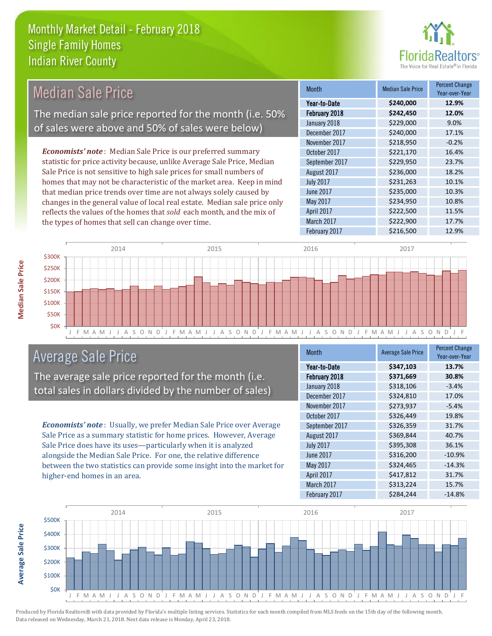the types of homes that sell can change over time.



| <b>Median Sale Price</b>                                                  | <b>Month</b>     | <b>Median Sale Price</b> | <b>Percent Change</b><br>Year-over-Year |
|---------------------------------------------------------------------------|------------------|--------------------------|-----------------------------------------|
|                                                                           | Year-to-Date     | \$240,000                | 12.9%                                   |
| The median sale price reported for the month (i.e. 50%                    | February 2018    | \$242,450                | 12.0%                                   |
|                                                                           | January 2018     | \$229,000                | 9.0%                                    |
| of sales were above and 50% of sales were below)                          | December 2017    | \$240,000                | 17.1%                                   |
|                                                                           | November 2017    | \$218,950                | $-0.2%$                                 |
| <b>Economists' note:</b> Median Sale Price is our preferred summary       | October 2017     | \$221,170                | 16.4%                                   |
| statistic for price activity because, unlike Average Sale Price, Median   | September 2017   | \$229,950                | 23.7%                                   |
| Sale Price is not sensitive to high sale prices for small numbers of      | August 2017      | \$236,000                | 18.2%                                   |
| homes that may not be characteristic of the market area. Keep in mind     | <b>July 2017</b> | \$231,263                | 10.1%                                   |
| that median price trends over time are not always solely caused by        | June 2017        | \$235,000                | 10.3%                                   |
| changes in the general value of local real estate. Median sale price only | May 2017         | \$234,950                | 10.8%                                   |
| reflects the values of the homes that sold each month, and the mix of     | April 2017       | \$222,500                | 11.5%                                   |



# Average Sale Price

The average sale price reported for the month (i.e. total sales in dollars divided by the number of sales)

*Economists' note* : Usually, we prefer Median Sale Price over Average Sale Price as a summary statistic for home prices. However, Average Sale Price does have its uses—particularly when it is analyzed alongside the Median Sale Price. For one, the relative difference between the two statistics can provide some insight into the market for higher-end homes in an area.

| <b>Month</b>     | <b>Average Sale Price</b> | <b>Percent Change</b><br>Year-over-Year |
|------------------|---------------------------|-----------------------------------------|
| Year-to-Date     | \$347,103                 | 13.7%                                   |
| February 2018    | \$371,669                 | 30.8%                                   |
| January 2018     | \$318,106                 | $-3.4%$                                 |
| December 2017    | \$324,810                 | 17.0%                                   |
| November 2017    | \$273,937                 | $-5.4%$                                 |
| October 2017     | \$326,449                 | 19.8%                                   |
| September 2017   | \$326,359                 | 31.7%                                   |
| August 2017      | \$369,844                 | 40.7%                                   |
| <b>July 2017</b> | \$395,308                 | 36.1%                                   |
| June 2017        | \$316,200                 | $-10.9%$                                |
| <b>May 2017</b>  | \$324,465                 | $-14.3%$                                |
| April 2017       | \$417,812                 | 31.7%                                   |
| March 2017       | \$313,224                 | 15.7%                                   |
| February 2017    | \$284,244                 | $-14.8%$                                |

March 2017 **\$222,900** 17.7% February 2017 **\$216,500** 12.9%



Produced by Florida Realtors® with data provided by Florida's multiple listing services. Statistics for each month compiled from MLS feeds on the 15th day of the following month. Data released on Wednesday, March 21, 2018. Next data release is Monday, April 23, 2018.

**Average Sale Price**

**Average Sale Price**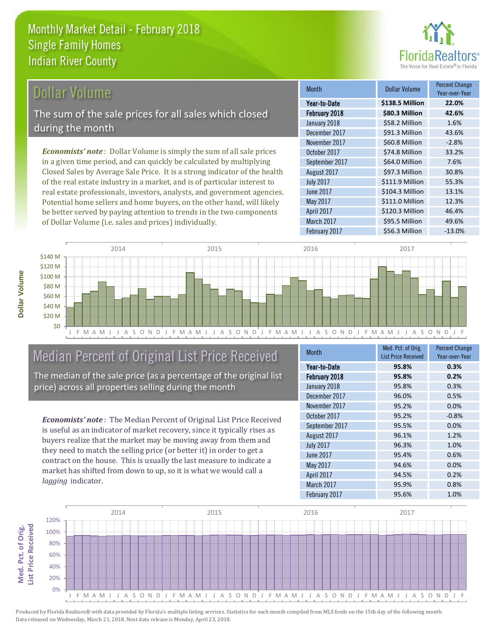

# Dollar Volume

The sum of the sale prices for all sales which closed during the month

*Economists' note* : Dollar Volume is simply the sum of all sale prices in a given time period, and can quickly be calculated by multiplying Closed Sales by Average Sale Price. It is a strong indicator of the health of the real estate industry in a market, and is of particular interest to real estate professionals, investors, analysts, and government agencies. Potential home sellers and home buyers, on the other hand, will likely be better served by paying attention to trends in the two components of Dollar Volume (i.e. sales and prices) individually.

| <b>Month</b>     | <b>Dollar Volume</b> | Percent Change<br>Year-over-Year |
|------------------|----------------------|----------------------------------|
| Year-to-Date     | \$138.5 Million      | 22.0%                            |
| February 2018    | \$80.3 Million       | 42.6%                            |
| January 2018     | \$58.2 Million       | 1.6%                             |
| December 2017    | \$91.3 Million       | 43.6%                            |
| November 2017    | \$60.8 Million       | $-2.8%$                          |
| October 2017     | \$74.8 Million       | 33.2%                            |
| September 2017   | \$64.0 Million       | 7.6%                             |
| August 2017      | \$97.3 Million       | 30.8%                            |
| <b>July 2017</b> | \$111.9 Million      | 55.3%                            |
| <b>June 2017</b> | \$104.3 Million      | 13.1%                            |
| May 2017         | \$111.0 Million      | 12.3%                            |
| April 2017       | \$120.3 Million      | 46.4%                            |
| March 2017       | \$95.5 Million       | 49.6%                            |
| February 2017    | \$56.3 Million       | $-13.0%$                         |



## Median Percent of Original List Price Received

The median of the sale price (as a percentage of the original list price) across all properties selling during the month

*Economists' note* : The Median Percent of Original List Price Received is useful as an indicator of market recovery, since it typically rises as buyers realize that the market may be moving away from them and they need to match the selling price (or better it) in order to get a contract on the house. This is usually the last measure to indicate a market has shifted from down to up, so it is what we would call a *lagging* indicator.

| <b>Month</b>     | Med. Pct. of Orig.         | <b>Percent Change</b> |  |
|------------------|----------------------------|-----------------------|--|
|                  | <b>List Price Received</b> | Year-over-Year        |  |
| Year-to-Date     | 95.8%                      | 0.3%                  |  |
| February 2018    | 95.8%                      | 0.2%                  |  |
| January 2018     | 95.8%                      | 0.3%                  |  |
| December 2017    | 96.0%                      | 0.5%                  |  |
| November 2017    | 95.2%                      | 0.0%                  |  |
| October 2017     | 95.2%                      | $-0.8%$               |  |
| September 2017   | 95.5%                      | 0.0%                  |  |
| August 2017      | 96.1%                      | 1.2%                  |  |
| <b>July 2017</b> | 96.3%                      | 1.0%                  |  |
| June 2017        | 95.4%                      | 0.6%                  |  |
| May 2017         | 94.6%                      | 0.0%                  |  |
| April 2017       | 94.5%                      | 0.2%                  |  |
| March 2017       | 95.9%                      | 0.8%                  |  |
| February 2017    | 95.6%                      | 1.0%                  |  |



Produced by Florida Realtors® with data provided by Florida's multiple listing services. Statistics for each month compiled from MLS feeds on the 15th day of the following month. Data released on Wednesday, March 21, 2018. Next data release is Monday, April 23, 2018.

**Med. Pct. of Orig.** 

Med. Pct. of Orig.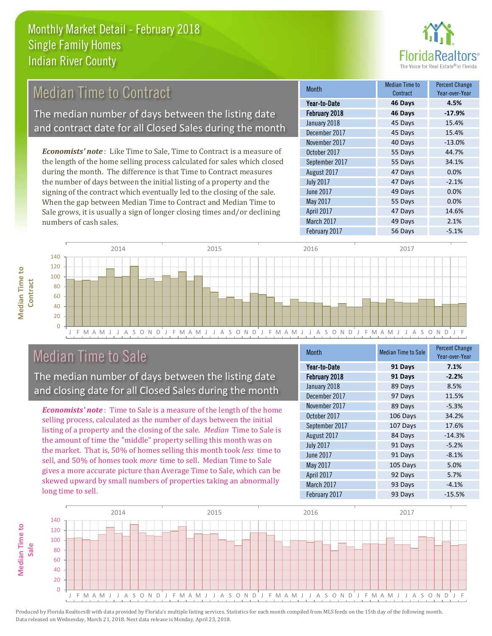

#### 45 Days 15.4% November 2017 40 Days -13.0% Month Month Median Time to Contract Percent Change Year-over-Year February 2018 **46 Days -17.9%** Year-to-Date **46 Days 4.5%** January 2018 45 Days 15.4% December 2017 August 2017 **47 Days 0.0%** October 2017 55 Days 44.7% September 2017 55 Days 34.1% *Economists' note* : Like Time to Sale, Time to Contract is a measure of the length of the home selling process calculated for sales which closed during the month. The difference is that Time to Contract measures Median Time to Contract The median number of days between the listing date and contract date for all Closed Sales during the month

the number of days between the initial listing of a property and the signing of the contract which eventually led to the closing of the sale. When the gap between Median Time to Contract and Median Time to Sale grows, it is usually a sign of longer closing times and/or declining numbers of cash sales.

|                  | contract | rear-over-rear |
|------------------|----------|----------------|
| Year-to-Date     | 46 Days  | 4.5%           |
| February 2018    | 46 Days  | $-17.9%$       |
| January 2018     | 45 Days  | 15.4%          |
| December 2017    | 45 Days  | 15.4%          |
| November 2017    | 40 Days  | $-13.0%$       |
| October 2017     | 55 Days  | 44.7%          |
| September 2017   | 55 Days  | 34.1%          |
| August 2017      | 47 Days  | 0.0%           |
| <b>July 2017</b> | 47 Days  | $-2.1%$        |
| <b>June 2017</b> | 49 Days  | 0.0%           |
| May 2017         | 55 Days  | 0.0%           |
| April 2017       | 47 Days  | 14.6%          |
| March 2017       | 49 Days  | 2.1%           |
| February 2017    | 56 Days  | $-5.1%$        |





# Median Time to Sale

The median number of days between the listing date and closing date for all Closed Sales during the month

*Economists' note* : Time to Sale is a measure of the length of the home selling process, calculated as the number of days between the initial listing of a property and the closing of the sale. *Median* Time to Sale is the amount of time the "middle" property selling this month was on the market. That is, 50% of homes selling this month took *less* time to sell, and 50% of homes took *more* time to sell. Median Time to Sale gives a more accurate picture than Average Time to Sale, which can be skewed upward by small numbers of properties taking an abnormally long time to sell.

| <b>Month</b>     | <b>Median Time to Sale</b> | <b>Percent Change</b><br>Year-over-Year |
|------------------|----------------------------|-----------------------------------------|
| Year-to-Date     | 91 Days                    | 7.1%                                    |
| February 2018    | 91 Days                    | $-2.2%$                                 |
| January 2018     | 89 Days                    | 8.5%                                    |
| December 2017    | 97 Days                    | 11.5%                                   |
| November 2017    | 89 Days                    | $-5.3%$                                 |
| October 2017     | 106 Days                   | 34.2%                                   |
| September 2017   | 107 Days                   | 17.6%                                   |
| August 2017      | 84 Days                    | $-14.3%$                                |
| <b>July 2017</b> | 91 Days                    | $-5.2%$                                 |
| June 2017        | 91 Days                    | $-8.1%$                                 |
| May 2017         | 105 Days                   | 5.0%                                    |
| April 2017       | 92 Days                    | 5.7%                                    |
| March 2017       | 93 Days                    | $-4.1%$                                 |
| February 2017    | 93 Days                    | $-15.5%$                                |

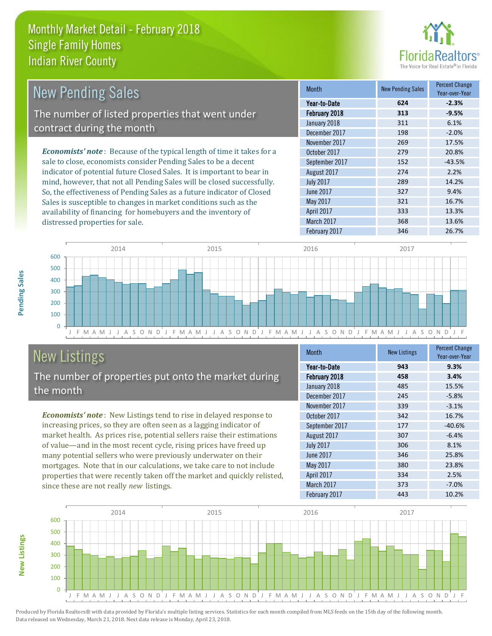

| <b>New Pending Sales</b>                                                       | <b>Month</b>     | <b>New Pending Sales</b> | <b>Percent Change</b><br>Year-over-Year |
|--------------------------------------------------------------------------------|------------------|--------------------------|-----------------------------------------|
|                                                                                | Year-to-Date     | 624                      | $-2.3%$                                 |
| The number of listed properties that went under                                | February 2018    | 313                      | $-9.5%$                                 |
|                                                                                | January 2018     | 311                      | 6.1%                                    |
| contract during the month                                                      | December 2017    | 198                      | $-2.0%$                                 |
|                                                                                | November 2017    | 269                      | 17.5%                                   |
| <b>Economists' note</b> : Because of the typical length of time it takes for a | October 2017     | 279                      | 20.8%                                   |
| sale to close, economists consider Pending Sales to be a decent                | September 2017   | 152                      | $-43.5%$                                |
| indicator of potential future Closed Sales. It is important to bear in         | August 2017      | 274                      | 2.2%                                    |
| mind, however, that not all Pending Sales will be closed successfully.         | <b>July 2017</b> | 289                      | 14.2%                                   |
| So, the effectiveness of Pending Sales as a future indicator of Closed         | June 2017        | 327                      | 9.4%                                    |
| Sales is susceptible to changes in market conditions such as the               | May 2017         | 321                      | 16.7%                                   |



# New Listings

distressed properties for sale.

The number of properties put onto the market during the month

availability of financing for homebuyers and the inventory of

*Economists' note* : New Listings tend to rise in delayed response to increasing prices, so they are often seen as a lagging indicator of market health. As prices rise, potential sellers raise their estimations of value—and in the most recent cycle, rising prices have freed up many potential sellers who were previously underwater on their mortgages. Note that in our calculations, we take care to not include properties that were recently taken off the market and quickly relisted, since these are not really *new* listings.

| Month            | <b>New Listings</b> | <b>Percent Change</b><br>Year-over-Year |
|------------------|---------------------|-----------------------------------------|
| Year-to-Date     | 943                 | 9.3%                                    |
| February 2018    | 458                 | 3.4%                                    |
| January 2018     | 485                 | 15.5%                                   |
| December 2017    | 245                 | $-5.8%$                                 |
| November 2017    | 339                 | $-3.1%$                                 |
| October 2017     | 342                 | 16.7%                                   |
| September 2017   | 177                 | $-40.6%$                                |
| August 2017      | 307                 | $-6.4%$                                 |
| <b>July 2017</b> | 306                 | 8.1%                                    |
| June 2017        | 346                 | 25.8%                                   |
| May 2017         | 380                 | 23.8%                                   |
| April 2017       | 334                 | 2.5%                                    |
| March 2017       | 373                 | $-7.0%$                                 |
| February 2017    | 443                 | 10.2%                                   |

April 2017 **333** 13.3% March 2017 **13.6%** 13.6%



Produced by Florida Realtors® with data provided by Florida's multiple listing services. Statistics for each month compiled from MLS feeds on the 15th day of the following month. Data released on Wednesday, March 21, 2018. Next data release is Monday, April 23, 2018.

**New Listings**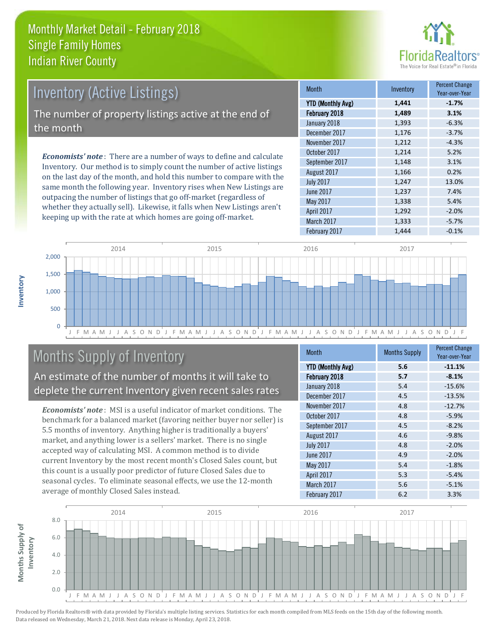

| <b>Inventory (Active Listings)</b><br>The number of property listings active at the end of<br>the month |  |                                                                              |  |
|---------------------------------------------------------------------------------------------------------|--|------------------------------------------------------------------------------|--|
|                                                                                                         |  | <b>Economists' note</b> : There are a number of ways to define and calculate |  |
|                                                                                                         |  |                                                                              |  |

Inventory. Our method is to simply count the number of active listings on the last day of the month, and hold this number to compare with the same month the following year. Inventory rises when New Listings are outpacing the number of listings that go off-market (regardless of whether they actually sell). Likewise, it falls when New Listings aren't keeping up with the rate at which homes are going off-market.

| <b>Month</b>             | Inventory | <b>Percent Change</b><br>Year-over-Year |
|--------------------------|-----------|-----------------------------------------|
| <b>YTD (Monthly Avg)</b> | 1,441     | $-1.7%$                                 |
| February 2018            | 1,489     | 3.1%                                    |
| January 2018             | 1,393     | $-6.3%$                                 |
| December 2017            | 1,176     | $-3.7%$                                 |
| November 2017            | 1,212     | $-4.3%$                                 |
| October 2017             | 1,214     | 5.2%                                    |
| September 2017           | 1,148     | 3.1%                                    |
| August 2017              | 1,166     | 0.2%                                    |
| <b>July 2017</b>         | 1,247     | 13.0%                                   |
| <b>June 2017</b>         | 1,237     | 7.4%                                    |
| May 2017                 | 1,338     | 5.4%                                    |
| April 2017               | 1,292     | $-2.0%$                                 |
| March 2017               | 1,333     | $-5.7%$                                 |
| February 2017            | 1.444     | $-0.1%$                                 |



# Months Supply of Inventory

An estimate of the number of months it will take to deplete the current Inventory given recent sales rates

*Economists' note* : MSI is a useful indicator of market conditions. The benchmark for a balanced market (favoring neither buyer nor seller) is 5.5 months of inventory. Anything higher is traditionally a buyers' market, and anything lower is a sellers' market. There is no single accepted way of calculating MSI. A common method is to divide current Inventory by the most recent month's Closed Sales count, but this count is a usually poor predictor of future Closed Sales due to seasonal cycles. To eliminate seasonal effects, we use the 12-month average of monthly Closed Sales instead.

| Month                    | <b>Months Supply</b> | <b>Percent Change</b><br>Year-over-Year |
|--------------------------|----------------------|-----------------------------------------|
| <b>YTD (Monthly Avg)</b> | 5.6                  | $-11.1%$                                |
| February 2018            | 5.7                  | $-8.1%$                                 |
| January 2018             | 5.4                  | $-15.6%$                                |
| December 2017            | 4.5                  | $-13.5%$                                |
| November 2017            | 4.8                  | $-12.7%$                                |
| October 2017             | 4.8                  | $-5.9%$                                 |
| September 2017           | 4.5                  | $-8.2%$                                 |
| August 2017              | 4.6                  | $-9.8%$                                 |
| <b>July 2017</b>         | 4.8                  | $-2.0%$                                 |
| <b>June 2017</b>         | 4.9                  | $-2.0%$                                 |
| May 2017                 | 5.4                  | $-1.8%$                                 |
| April 2017               | 5.3                  | $-5.4%$                                 |
| March 2017               | 5.6                  | $-5.1%$                                 |
| February 2017            | 6.2                  | 3.3%                                    |

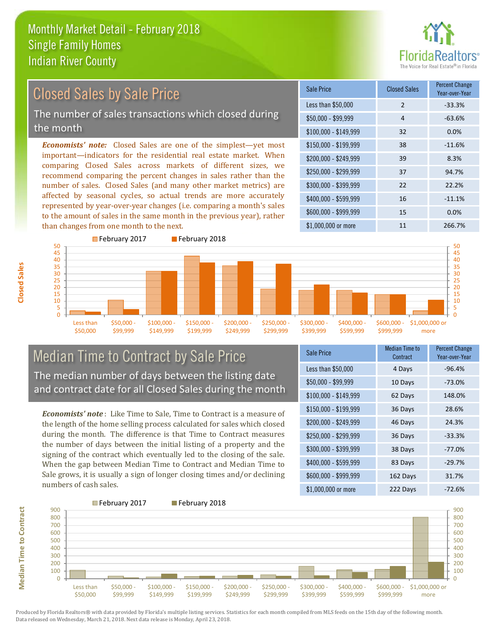

# Closed Sales by Sale Price

The number of sales transactions which closed during the month

*Economists' note:* Closed Sales are one of the simplest—yet most important—indicators for the residential real estate market. When comparing Closed Sales across markets of different sizes, we recommend comparing the percent changes in sales rather than the number of sales. Closed Sales (and many other market metrics) are affected by seasonal cycles, so actual trends are more accurately represented by year-over-year changes (i.e. comparing a month's sales to the amount of sales in the same month in the previous year), rather than changes from one month to the next.





#### Median Time to Contract by Sale Price The median number of days between the listing date and contract date for all Closed Sales during the month

*Economists' note* : Like Time to Sale, Time to Contract is a measure of the length of the home selling process calculated for sales which closed during the month. The difference is that Time to Contract measures the number of days between the initial listing of a property and the signing of the contract which eventually led to the closing of the sale. When the gap between Median Time to Contract and Median Time to Sale grows, it is usually a sign of longer closing times and/or declining numbers of cash sales.

| Sale Price            | <b>Median Time to</b><br>Contract | <b>Percent Change</b><br>Year-over-Year |
|-----------------------|-----------------------------------|-----------------------------------------|
| Less than \$50,000    | 4 Days                            | $-96.4%$                                |
| $$50,000 - $99,999$   | 10 Days                           | $-73.0%$                                |
| $$100,000 - $149,999$ | 62 Days                           | 148.0%                                  |
| \$150,000 - \$199,999 | 36 Days                           | 28.6%                                   |
| \$200,000 - \$249,999 | 46 Days                           | 24.3%                                   |
| \$250,000 - \$299,999 | 36 Days                           | $-33.3%$                                |
| \$300,000 - \$399,999 | 38 Days                           | $-77.0%$                                |
| \$400,000 - \$599,999 | 83 Days                           | $-29.7%$                                |
| \$600,000 - \$999,999 | 162 Days                          | 31.7%                                   |
| \$1,000,000 or more   | 222 Days                          | $-72.6%$                                |



Produced by Florida Realtors® with data provided by Florida's multiple listing services. Statistics for each month compiled from MLS feeds on the 15th day of the following month. Data released on Wednesday, March 21, 2018. Next data release is Monday, April 23, 2018.

**Median Time to Contract Median Time to Contract**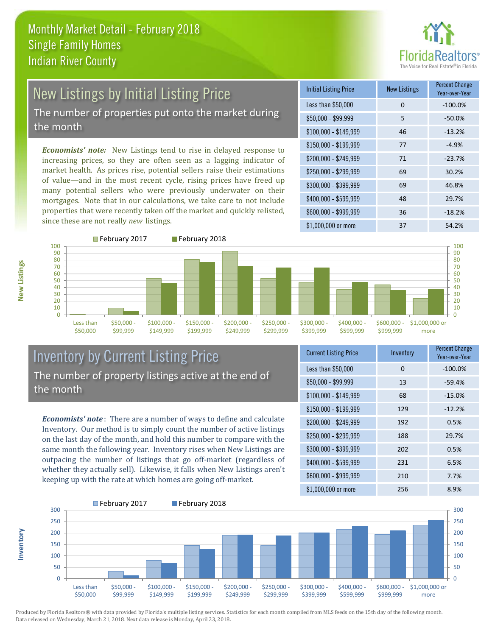

# New Listings by Initial Listing Price The number of properties put onto the market during

the month

*Economists' note:* New Listings tend to rise in delayed response to increasing prices, so they are often seen as a lagging indicator of market health. As prices rise, potential sellers raise their estimations of value—and in the most recent cycle, rising prices have freed up many potential sellers who were previously underwater on their mortgages. Note that in our calculations, we take care to not include properties that were recently taken off the market and quickly relisted, since these are not really *new* listings.





### Inventory by Current Listing Price The number of property listings active at the end of the month

*Economists' note* : There are a number of ways to define and calculate Inventory. Our method is to simply count the number of active listings on the last day of the month, and hold this number to compare with the same month the following year. Inventory rises when New Listings are outpacing the number of listings that go off-market (regardless of whether they actually sell). Likewise, it falls when New Listings aren't keeping up with the rate at which homes are going off-market.

| <b>Current Listing Price</b> | Inventory | <b>Percent Change</b><br>Year-over-Year |
|------------------------------|-----------|-----------------------------------------|
| Less than \$50,000           | 0         | $-100.0%$                               |
| $$50,000 - $99,999$          | 13        | $-59.4%$                                |
| $$100,000 - $149,999$        | 68        | $-15.0%$                                |
| $$150,000 - $199,999$        | 129       | $-12.2%$                                |
| \$200,000 - \$249,999        | 192       | 0.5%                                    |
| $$250,000 - $299,999$        | 188       | 29.7%                                   |
| \$300,000 - \$399,999        | 202       | 0.5%                                    |
| \$400,000 - \$599,999        | 231       | 6.5%                                    |
| \$600,000 - \$999,999        | 210       | 7.7%                                    |
| \$1,000,000 or more          | 256       | 8.9%                                    |



Produced by Florida Realtors® with data provided by Florida's multiple listing services. Statistics for each month compiled from MLS feeds on the 15th day of the following month. Data released on Wednesday, March 21, 2018. Next data release is Monday, April 23, 2018.

**Inventory**